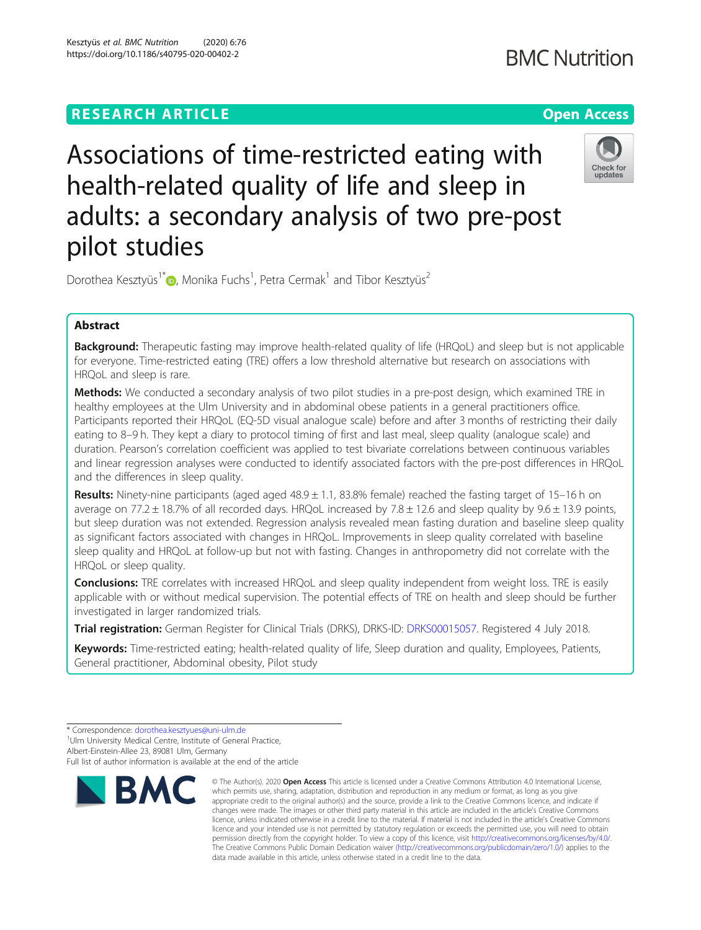# **RESEARCH ARTICLE Example 2014 12:30 The Contract of Contract ACCESS**



Associations of time-restricted eating with health-related quality of life and sleep in adults: a secondary analysis of two pre-post pilot studies

Dorothea Kesztyüs<sup>1\*</sup> (**p**[,](http://orcid.org/0000-0002-2166-846X) Monika Fuchs<sup>1</sup>, Petra Cermak<sup>1</sup> and Tibor Kesztyüs<sup>2</sup>

# Abstract

Background: Therapeutic fasting may improve health-related quality of life (HRQoL) and sleep but is not applicable for everyone. Time-restricted eating (TRE) offers a low threshold alternative but research on associations with HRQoL and sleep is rare.

Methods: We conducted a secondary analysis of two pilot studies in a pre-post design, which examined TRE in healthy employees at the Ulm University and in abdominal obese patients in a general practitioners office. Participants reported their HRQoL (EQ-5D visual analogue scale) before and after 3 months of restricting their daily eating to 8–9 h. They kept a diary to protocol timing of first and last meal, sleep quality (analogue scale) and duration. Pearson's correlation coefficient was applied to test bivariate correlations between continuous variables and linear regression analyses were conducted to identify associated factors with the pre-post differences in HRQoL and the differences in sleep quality.

**Results:** Ninety-nine participants (aged aged  $48.9 \pm 1.1$ , 83.8% female) reached the fasting target of 15–16 h on average on 77.2  $\pm$  18.7% of all recorded days. HRQoL increased by 7.8  $\pm$  12.6 and sleep quality by 9.6  $\pm$  13.9 points, but sleep duration was not extended. Regression analysis revealed mean fasting duration and baseline sleep quality as significant factors associated with changes in HRQoL. Improvements in sleep quality correlated with baseline sleep quality and HRQoL at follow-up but not with fasting. Changes in anthropometry did not correlate with the HRQoL or sleep quality.

Conclusions: TRE correlates with increased HRQoL and sleep quality independent from weight loss. TRE is easily applicable with or without medical supervision. The potential effects of TRE on health and sleep should be further investigated in larger randomized trials.

Trial registration: German Register for Clinical Trials (DRKS), DRKS-ID: [DRKS00015057](https://www.drks.de/drks_web/navigate.do?navigationId=trial.HTML&TRIAL_ID=DRKS00015057). Registered 4 July 2018.

Keywords: Time-restricted eating; health-related quality of life, Sleep duration and quality, Employees, Patients, General practitioner, Abdominal obesity, Pilot study

<sup>1</sup>Ulm University Medical Centre, Institute of General Practice,

Albert-Einstein-Allee 23, 89081 Ulm, Germany

Full list of author information is available at the end of the article



<sup>©</sup> The Author(s), 2020 **Open Access** This article is licensed under a Creative Commons Attribution 4.0 International License, which permits use, sharing, adaptation, distribution and reproduction in any medium or format, as long as you give appropriate credit to the original author(s) and the source, provide a link to the Creative Commons licence, and indicate if changes were made. The images or other third party material in this article are included in the article's Creative Commons licence, unless indicated otherwise in a credit line to the material. If material is not included in the article's Creative Commons licence and your intended use is not permitted by statutory regulation or exceeds the permitted use, you will need to obtain permission directly from the copyright holder. To view a copy of this licence, visit [http://creativecommons.org/licenses/by/4.0/.](http://creativecommons.org/licenses/by/4.0/) The Creative Commons Public Domain Dedication waiver [\(http://creativecommons.org/publicdomain/zero/1.0/](http://creativecommons.org/publicdomain/zero/1.0/)) applies to the data made available in this article, unless otherwise stated in a credit line to the data.

<sup>\*</sup> Correspondence: [dorothea.kesztyues@uni-ulm.de](mailto:dorothea.kesztyues@uni-ulm.de) <sup>1</sup>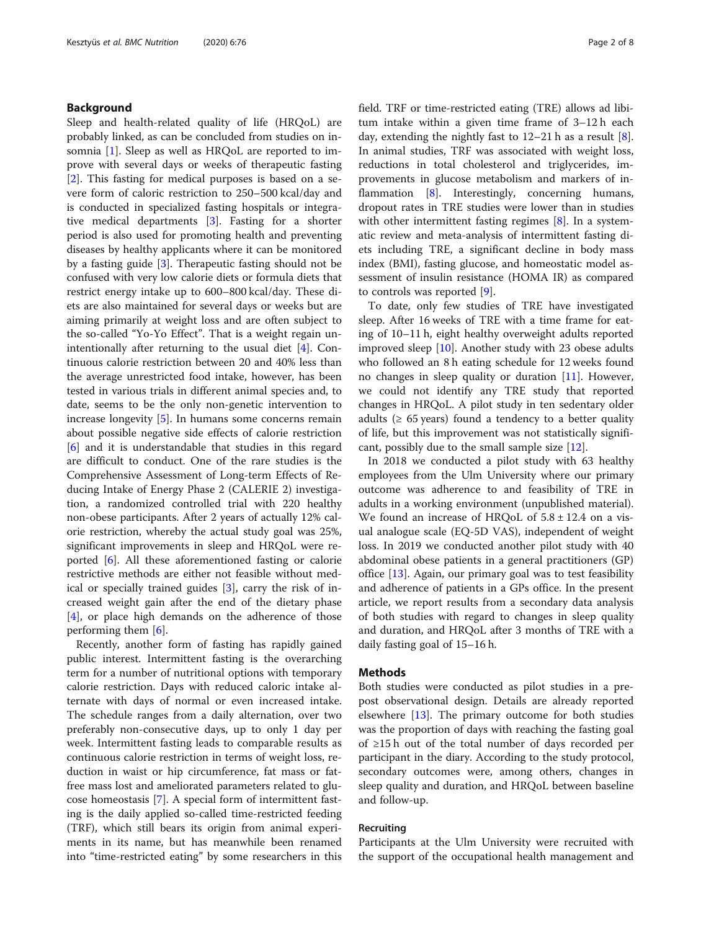### Background

Sleep and health-related quality of life (HRQoL) are probably linked, as can be concluded from studies on insomnia [[1\]](#page-7-0). Sleep as well as HRQoL are reported to improve with several days or weeks of therapeutic fasting [[2\]](#page-7-0). This fasting for medical purposes is based on a severe form of caloric restriction to 250–500 kcal/day and is conducted in specialized fasting hospitals or integrative medical departments [\[3](#page-7-0)]. Fasting for a shorter period is also used for promoting health and preventing diseases by healthy applicants where it can be monitored by a fasting guide [\[3](#page-7-0)]. Therapeutic fasting should not be confused with very low calorie diets or formula diets that restrict energy intake up to 600–800 kcal/day. These diets are also maintained for several days or weeks but are aiming primarily at weight loss and are often subject to the so-called "Yo-Yo Effect". That is a weight regain unintentionally after returning to the usual diet [\[4](#page-7-0)]. Continuous calorie restriction between 20 and 40% less than the average unrestricted food intake, however, has been tested in various trials in different animal species and, to date, seems to be the only non-genetic intervention to increase longevity [\[5](#page-7-0)]. In humans some concerns remain about possible negative side effects of calorie restriction [[6\]](#page-7-0) and it is understandable that studies in this regard are difficult to conduct. One of the rare studies is the Comprehensive Assessment of Long-term Effects of Reducing Intake of Energy Phase 2 (CALERIE 2) investigation, a randomized controlled trial with 220 healthy non-obese participants. After 2 years of actually 12% calorie restriction, whereby the actual study goal was 25%, significant improvements in sleep and HRQoL were reported [\[6](#page-7-0)]. All these aforementioned fasting or calorie restrictive methods are either not feasible without medical or specially trained guides [[3\]](#page-7-0), carry the risk of increased weight gain after the end of the dietary phase [[4\]](#page-7-0), or place high demands on the adherence of those performing them [[6\]](#page-7-0).

Recently, another form of fasting has rapidly gained public interest. Intermittent fasting is the overarching term for a number of nutritional options with temporary calorie restriction. Days with reduced caloric intake alternate with days of normal or even increased intake. The schedule ranges from a daily alternation, over two preferably non-consecutive days, up to only 1 day per week. Intermittent fasting leads to comparable results as continuous calorie restriction in terms of weight loss, reduction in waist or hip circumference, fat mass or fatfree mass lost and ameliorated parameters related to glucose homeostasis [\[7](#page-7-0)]. A special form of intermittent fasting is the daily applied so-called time-restricted feeding (TRF), which still bears its origin from animal experiments in its name, but has meanwhile been renamed into "time-restricted eating" by some researchers in this field. TRF or time-restricted eating (TRE) allows ad libitum intake within a given time frame of 3–12 h each day, extending the nightly fast to 12–21 h as a result [\[8](#page-7-0)]. In animal studies, TRF was associated with weight loss, reductions in total cholesterol and triglycerides, improvements in glucose metabolism and markers of in-flammation [[8\]](#page-7-0). Interestingly, concerning humans, dropout rates in TRE studies were lower than in studies with other intermittent fasting regimes  $[8]$  $[8]$ . In a systematic review and meta-analysis of intermittent fasting diets including TRE, a significant decline in body mass index (BMI), fasting glucose, and homeostatic model assessment of insulin resistance (HOMA IR) as compared to controls was reported [\[9\]](#page-7-0).

To date, only few studies of TRE have investigated sleep. After 16 weeks of TRE with a time frame for eating of 10–11 h, eight healthy overweight adults reported improved sleep [\[10](#page-7-0)]. Another study with 23 obese adults who followed an 8 h eating schedule for 12 weeks found no changes in sleep quality or duration [\[11](#page-7-0)]. However, we could not identify any TRE study that reported changes in HRQoL. A pilot study in ten sedentary older adults ( $\geq 65$  years) found a tendency to a better quality of life, but this improvement was not statistically significant, possibly due to the small sample size [[12](#page-7-0)].

In 2018 we conducted a pilot study with 63 healthy employees from the Ulm University where our primary outcome was adherence to and feasibility of TRE in adults in a working environment (unpublished material). We found an increase of HRQoL of  $5.8 \pm 12.4$  on a visual analogue scale (EQ-5D VAS), independent of weight loss. In 2019 we conducted another pilot study with 40 abdominal obese patients in a general practitioners (GP) office [\[13\]](#page-7-0). Again, our primary goal was to test feasibility and adherence of patients in a GPs office. In the present article, we report results from a secondary data analysis of both studies with regard to changes in sleep quality and duration, and HRQoL after 3 months of TRE with a daily fasting goal of 15–16 h.

### **Methods**

Both studies were conducted as pilot studies in a prepost observational design. Details are already reported elsewhere  $[13]$  $[13]$ . The primary outcome for both studies was the proportion of days with reaching the fasting goal of ≥15 h out of the total number of days recorded per participant in the diary. According to the study protocol, secondary outcomes were, among others, changes in sleep quality and duration, and HRQoL between baseline and follow-up.

### Recruiting

Participants at the Ulm University were recruited with the support of the occupational health management and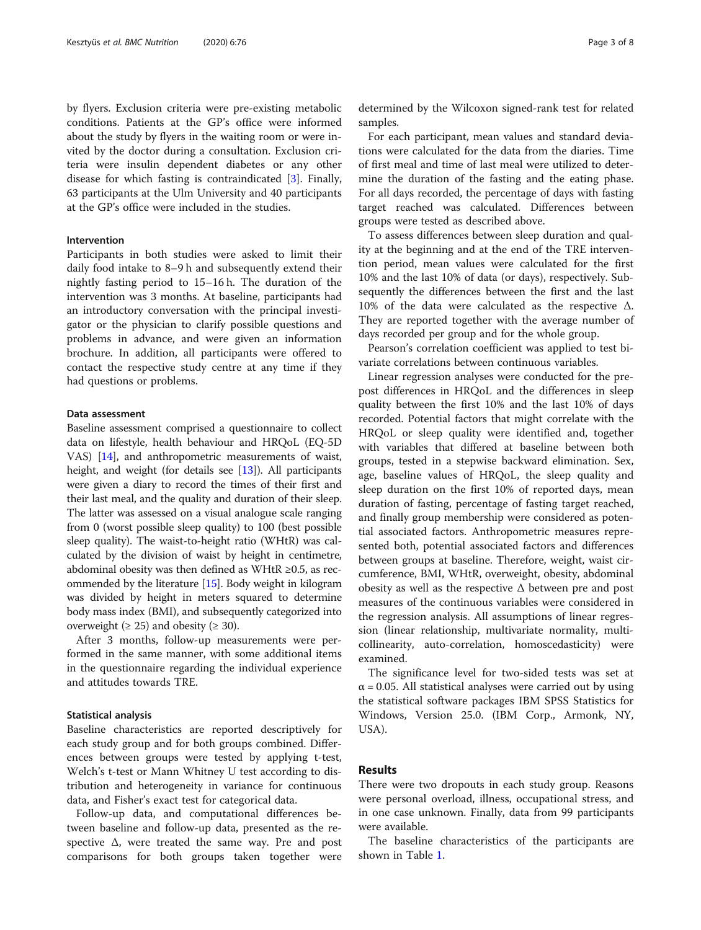by flyers. Exclusion criteria were pre-existing metabolic conditions. Patients at the GP's office were informed about the study by flyers in the waiting room or were invited by the doctor during a consultation. Exclusion criteria were insulin dependent diabetes or any other disease for which fasting is contraindicated [[3\]](#page-7-0). Finally, 63 participants at the Ulm University and 40 participants at the GP's office were included in the studies.

### Intervention

Participants in both studies were asked to limit their daily food intake to 8–9 h and subsequently extend their nightly fasting period to 15–16 h. The duration of the intervention was 3 months. At baseline, participants had an introductory conversation with the principal investigator or the physician to clarify possible questions and problems in advance, and were given an information brochure. In addition, all participants were offered to contact the respective study centre at any time if they had questions or problems.

### Data assessment

Baseline assessment comprised a questionnaire to collect data on lifestyle, health behaviour and HRQoL (EQ-5D VAS) [\[14\]](#page-7-0), and anthropometric measurements of waist, height, and weight (for details see  $[13]$  $[13]$  $[13]$ ). All participants were given a diary to record the times of their first and their last meal, and the quality and duration of their sleep. The latter was assessed on a visual analogue scale ranging from 0 (worst possible sleep quality) to 100 (best possible sleep quality). The waist-to-height ratio (WHtR) was calculated by the division of waist by height in centimetre, abdominal obesity was then defined as WHtR ≥0.5, as recommended by the literature [[15](#page-7-0)]. Body weight in kilogram was divided by height in meters squared to determine body mass index (BMI), and subsequently categorized into overweight ( $\geq$  25) and obesity ( $\geq$  30).

After 3 months, follow-up measurements were performed in the same manner, with some additional items in the questionnaire regarding the individual experience and attitudes towards TRE.

### Statistical analysis

Baseline characteristics are reported descriptively for each study group and for both groups combined. Differences between groups were tested by applying t-test, Welch's t-test or Mann Whitney U test according to distribution and heterogeneity in variance for continuous data, and Fisher's exact test for categorical data.

Follow-up data, and computational differences between baseline and follow-up data, presented as the respective  $\Delta$ , were treated the same way. Pre and post comparisons for both groups taken together were

determined by the Wilcoxon signed-rank test for related samples.

For each participant, mean values and standard deviations were calculated for the data from the diaries. Time of first meal and time of last meal were utilized to determine the duration of the fasting and the eating phase. For all days recorded, the percentage of days with fasting target reached was calculated. Differences between groups were tested as described above.

To assess differences between sleep duration and quality at the beginning and at the end of the TRE intervention period, mean values were calculated for the first 10% and the last 10% of data (or days), respectively. Subsequently the differences between the first and the last 10% of the data were calculated as the respective Δ. They are reported together with the average number of days recorded per group and for the whole group.

Pearson's correlation coefficient was applied to test bivariate correlations between continuous variables.

Linear regression analyses were conducted for the prepost differences in HRQoL and the differences in sleep quality between the first 10% and the last 10% of days recorded. Potential factors that might correlate with the HRQoL or sleep quality were identified and, together with variables that differed at baseline between both groups, tested in a stepwise backward elimination. Sex, age, baseline values of HRQoL, the sleep quality and sleep duration on the first 10% of reported days, mean duration of fasting, percentage of fasting target reached, and finally group membership were considered as potential associated factors. Anthropometric measures represented both, potential associated factors and differences between groups at baseline. Therefore, weight, waist circumference, BMI, WHtR, overweight, obesity, abdominal obesity as well as the respective  $\Delta$  between pre and post measures of the continuous variables were considered in the regression analysis. All assumptions of linear regression (linear relationship, multivariate normality, multicollinearity, auto-correlation, homoscedasticity) were examined.

The significance level for two-sided tests was set at  $\alpha$  = 0.05. All statistical analyses were carried out by using the statistical software packages IBM SPSS Statistics for Windows, Version 25.0. (IBM Corp., Armonk, NY, USA).

### Results

There were two dropouts in each study group. Reasons were personal overload, illness, occupational stress, and in one case unknown. Finally, data from 99 participants were available.

The baseline characteristics of the participants are shown in Table [1.](#page-3-0)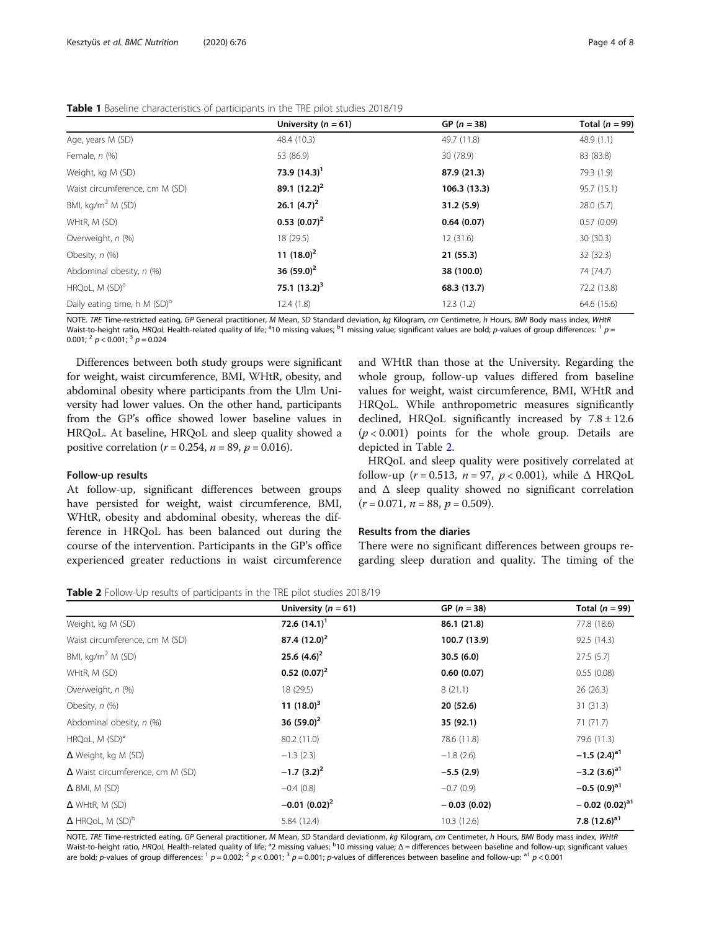|                                          | University ( $n = 61$ ) | $GP (n = 38)$ | Total $(n = 99)$ |
|------------------------------------------|-------------------------|---------------|------------------|
| Age, years M (SD)                        | 48.4 (10.3)             | 49.7 (11.8)   | 48.9(1.1)        |
| Female, $n$ $(\%)$                       | 53 (86.9)               | 30 (78.9)     | 83 (83.8)        |
| Weight, kg M (SD)                        | 73.9 $(14.3)^1$         | 87.9 (21.3)   | 79.3 (1.9)       |
| Waist circumference, cm M (SD)           | 89.1 $(12.2)^2$         | 106.3 (13.3)  | 95.7 (15.1)      |
| BMI, $\text{kg/m}^2$ M (SD)              | 26.1 $(4.7)^2$          | 31.2(5.9)     | 28.0(5.7)        |
| WHtR, M (SD)                             | $0.53(0.07)^2$          | 0.64(0.07)    | 0.57(0.09)       |
| Overweight, n (%)                        | 18 (29.5)               | 12(31.6)      | 30(30.3)         |
| Obesity, n (%)                           | 11 $(18.0)^2$           | 21(55.3)      | 32 (32.3)        |
| Abdominal obesity, n (%)                 | 36 $(59.0)^2$           | 38 (100.0)    | 74 (74.7)        |
| HRQoL, M (SD) <sup>a</sup>               | 75.1 $(13.2)^3$         | 68.3 (13.7)   | 72.2 (13.8)      |
| Daily eating time, h M (SD) <sup>b</sup> | 12.4(1.8)               | 12.3(1.2)     | 64.6 (15.6)      |

<span id="page-3-0"></span>Table 1 Baseline characteristics of participants in the TRE pilot studies 2018/19

NOTE. TRE Time-restricted eating, GP General practitioner, M Mean, SD Standard deviation, kg Kilogram, cm Centimetre, h Hours, BMI Body mass index, WHtR Waist-to-height ratio, HRQoL Health-related quality of life; <sup>a</sup>10 missing values; <sup>b</sup>1 missing value; significant values are bold; p-values of group differences: <sup>1</sup> p =<br>0.001: <sup>2</sup> p < 0.001: <sup>3</sup> p = 0.024 0.001;  $^{2} p < 0.001$ ;  $^{3} p = 0.024$ 

Differences between both study groups were significant for weight, waist circumference, BMI, WHtR, obesity, and abdominal obesity where participants from the Ulm University had lower values. On the other hand, participants from the GP's office showed lower baseline values in HRQoL. At baseline, HRQoL and sleep quality showed a positive correlation ( $r = 0.254$ ,  $n = 89$ ,  $p = 0.016$ ).

### Follow-up results

At follow-up, significant differences between groups have persisted for weight, waist circumference, BMI, WHtR, obesity and abdominal obesity, whereas the difference in HRQoL has been balanced out during the course of the intervention. Participants in the GP's office experienced greater reductions in waist circumference

and WHtR than those at the University. Regarding the whole group, follow-up values differed from baseline values for weight, waist circumference, BMI, WHtR and HRQoL. While anthropometric measures significantly declined, HRQoL significantly increased by  $7.8 \pm 12.6$  $(p < 0.001)$  points for the whole group. Details are depicted in Table 2.

HRQoL and sleep quality were positively correlated at follow-up ( $r = 0.513$ ,  $n = 97$ ,  $p < 0.001$ ), while  $\triangle$  HRQoL and  $\Delta$  sleep quality showed no significant correlation  $(r = 0.071, n = 88, p = 0.509).$ 

### Results from the diaries

There were no significant differences between groups regarding sleep duration and quality. The timing of the

Table 2 Follow-Up results of participants in the TRE pilot studies 2018/19

|                                         | University ( $n = 61$ )   | $GP (n = 38)$ | Total $(n = 99)$             |
|-----------------------------------------|---------------------------|---------------|------------------------------|
| Weight, kg M (SD)                       | 72.6 $(14.1)^T$           | 86.1 (21.8)   | 77.8 (18.6)                  |
| Waist circumference, cm M (SD)          | 87.4 $(12.0)^2$           | 100.7 (13.9)  | 92.5(14.3)                   |
| BMI, $kg/m^2$ M (SD)                    | 25.6 $(4.6)^2$            | 30.5(6.0)     | 27.5(5.7)                    |
| WHtR, M (SD)                            | $0.52 (0.07)^2$           | 0.60(0.07)    | 0.55(0.08)                   |
| Overweight, n (%)                       | 18 (29.5)                 | 8(21.1)       | 26(26.3)                     |
| Obesity, n (%)                          | 11 $(18.0)^3$             | 20 (52.6)     | 31(31.3)                     |
| Abdominal obesity, n (%)                | 36 $(59.0)^2$             | 35 (92.1)     | 71(71.7)                     |
| HRQoL, M (SD) <sup>a</sup>              | 80.2 (11.0)               | 78.6 (11.8)   | 79.6 (11.3)                  |
| $\Delta$ Weight, kg M (SD)              | $-1.3(2.3)$               | $-1.8(2.6)$   | $-1.5$ (2.4) <sup>a1</sup>   |
| $\Delta$ Waist circumference, cm M (SD) | $-1.7$ (3.2) <sup>2</sup> | $-5.5(2.9)$   | $-3.2$ (3.6) <sup>a1</sup>   |
| $\Delta$ BMI, M (SD)                    | $-0.4(0.8)$               | $-0.7(0.9)$   | $-0.5(0.9)^{a1}$             |
| $\Delta$ WHtR, M (SD)                   | $-0.01(0.02)^2$           | $-0.03(0.02)$ | $-0.02$ (0.02) <sup>a1</sup> |
| $\Delta$ HRQoL, M (SD) <sup>b</sup>     | 5.84 (12.4)               | 10.3(12.6)    | 7.8 $(12.6)^{a1}$            |

NOTE. TRE Time-restricted eating, GP General practitioner, M Mean, SD Standard deviationm, kg Kilogram, cm Centimeter, h Hours, BMI Body mass index, WHtR Waist-to-height ratio, HRQoL Health-related quality of life; <sup>a</sup>2 missing values; <sup>b</sup>10 missing value; Δ = differences between baseline and follow-up; significant values<br>are bold: n-values of group differences; l n = 0.00 are bold; p-values of group differences:  $\frac{1}{p} = 0.002$ ;  $\frac{2}{p} < 0.001$ ;  $\frac{3}{p} = 0.001$ ; p-values of differences between baseline and follow-up:  $\frac{a_1}{p} < 0.001$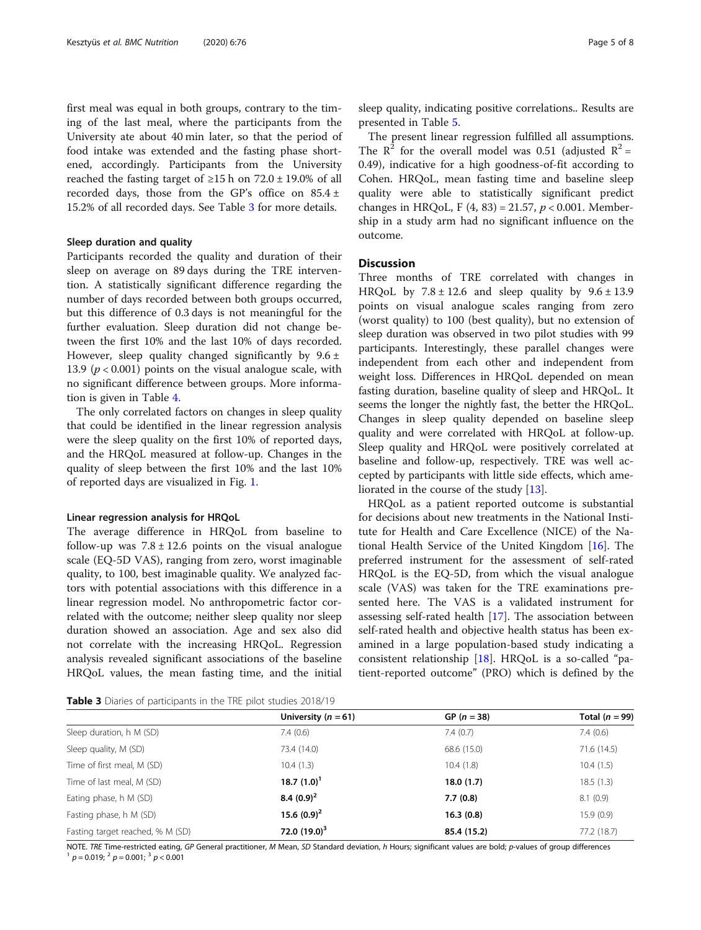first meal was equal in both groups, contrary to the timing of the last meal, where the participants from the University ate about 40 min later, so that the period of food intake was extended and the fasting phase shortened, accordingly. Participants from the University reached the fasting target of  $\geq 15$  h on  $72.0 \pm 19.0$ % of all recorded days, those from the GP's office on 85.4 ± 15.2% of all recorded days. See Table 3 for more details.

### Sleep duration and quality

Participants recorded the quality and duration of their sleep on average on 89 days during the TRE intervention. A statistically significant difference regarding the number of days recorded between both groups occurred, but this difference of 0.3 days is not meaningful for the further evaluation. Sleep duration did not change between the first 10% and the last 10% of days recorded. However, sleep quality changed significantly by  $9.6 \pm$ 13.9 ( $p < 0.001$ ) points on the visual analogue scale, with no significant difference between groups. More information is given in Table [4](#page-5-0).

The only correlated factors on changes in sleep quality that could be identified in the linear regression analysis were the sleep quality on the first 10% of reported days, and the HRQoL measured at follow-up. Changes in the quality of sleep between the first 10% and the last 10% of reported days are visualized in Fig. [1](#page-5-0).

### Linear regression analysis for HRQoL

The average difference in HRQoL from baseline to follow-up was  $7.8 \pm 12.6$  points on the visual analogue scale (EQ-5D VAS), ranging from zero, worst imaginable quality, to 100, best imaginable quality. We analyzed factors with potential associations with this difference in a linear regression model. No anthropometric factor correlated with the outcome; neither sleep quality nor sleep duration showed an association. Age and sex also did not correlate with the increasing HRQoL. Regression analysis revealed significant associations of the baseline HRQoL values, the mean fasting time, and the initial

sleep quality, indicating positive correlations.. Results are presented in Table [5](#page-6-0).

The present linear regression fulfilled all assumptions. The  $\mathbb{R}^2$  for the overall model was 0.51 (adjusted  $\mathbb{R}^2$  = 0.49), indicative for a high goodness-of-fit according to Cohen. HRQoL, mean fasting time and baseline sleep quality were able to statistically significant predict changes in HROoL, F  $(4, 83) = 21.57$ ,  $p < 0.001$ . Membership in a study arm had no significant influence on the outcome.

### **Discussion**

Three months of TRE correlated with changes in HRQoL by  $7.8 \pm 12.6$  and sleep quality by  $9.6 \pm 13.9$ points on visual analogue scales ranging from zero (worst quality) to 100 (best quality), but no extension of sleep duration was observed in two pilot studies with 99 participants. Interestingly, these parallel changes were independent from each other and independent from weight loss. Differences in HRQoL depended on mean fasting duration, baseline quality of sleep and HRQoL. It seems the longer the nightly fast, the better the HRQoL. Changes in sleep quality depended on baseline sleep quality and were correlated with HRQoL at follow-up. Sleep quality and HRQoL were positively correlated at baseline and follow-up, respectively. TRE was well accepted by participants with little side effects, which ameliorated in the course of the study [[13\]](#page-7-0).

HRQoL as a patient reported outcome is substantial for decisions about new treatments in the National Institute for Health and Care Excellence (NICE) of the National Health Service of the United Kingdom [\[16\]](#page-7-0). The preferred instrument for the assessment of self-rated HRQoL is the EQ-5D, from which the visual analogue scale (VAS) was taken for the TRE examinations presented here. The VAS is a validated instrument for assessing self-rated health [\[17](#page-7-0)]. The association between self-rated health and objective health status has been examined in a large population-based study indicating a consistent relationship [\[18\]](#page-7-0). HRQoL is a so-called "patient-reported outcome" (PRO) which is defined by the

|  |  | <b>Table 3</b> Diaries of participants in the TRE pilot studies 2018/19 |
|--|--|-------------------------------------------------------------------------|
|--|--|-------------------------------------------------------------------------|

|                                  | University ( $n = 61$ ) | $GP (n = 38)$ | Total $(n = 99)$ |
|----------------------------------|-------------------------|---------------|------------------|
| Sleep duration, h M (SD)         | 7.4(0.6)                | 7.4(0.7)      | 7.4(0.6)         |
| Sleep quality, M (SD)            | 73.4 (14.0)             | 68.6 (15.0)   | 71.6 (14.5)      |
| Time of first meal, M (SD)       | 10.4(1.3)               | 10.4(1.8)     | 10.4(1.5)        |
| Time of last meal, M (SD)        | 18.7 $(1.0)^1$          | 18.0(1.7)     | 18.5(1.3)        |
| Eating phase, h M (SD)           | 8.4 $(0.9)^2$           | 7.7(0.8)      | 8.1(0.9)         |
| Fasting phase, h M (SD)          | 15.6 $(0.9)^2$          | 16.3(0.8)     | 15.9(0.9)        |
| Fasting target reached, % M (SD) | 72.0 $(19.0)^3$         | 85.4 (15.2)   | 77.2 (18.7)      |

NOTE. TRE Time-restricted eating, GP General practitioner, M Mean, SD Standard deviation, h Hours; significant values are bold; p-values of group differences  $p = 0.019$ ;  $\frac{2}{p} = 0.001$ ;  $\frac{3}{p} < 0.001$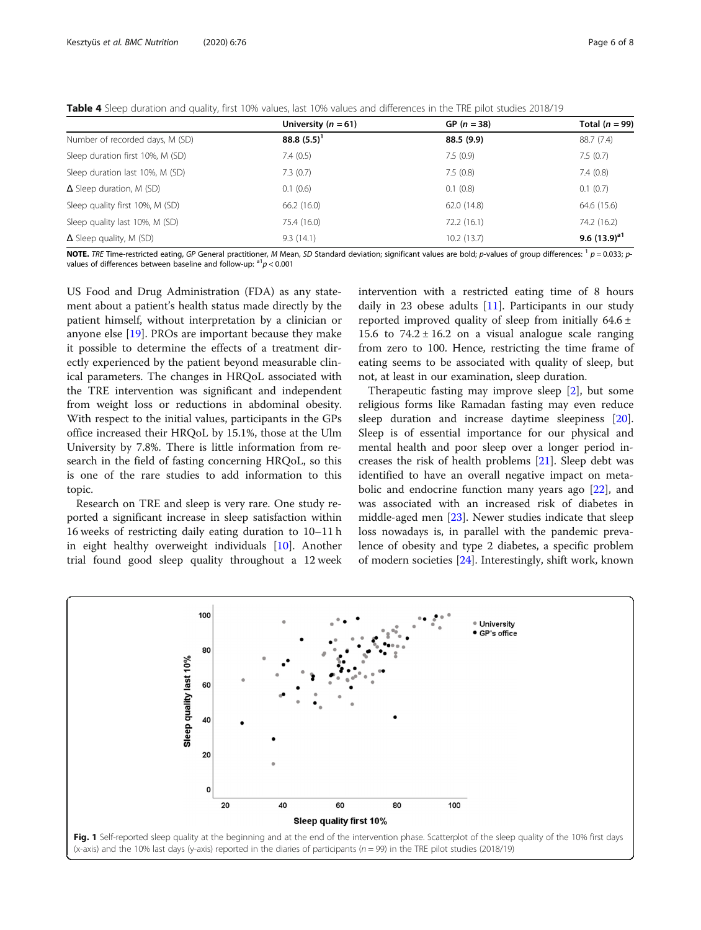<span id="page-5-0"></span>

|  |  |  |  | Table 4 Sleep duration and quality, first 10% values, last 10% values and differences in the TRE pilot studies 2018/19 |  |
|--|--|--|--|------------------------------------------------------------------------------------------------------------------------|--|
|--|--|--|--|------------------------------------------------------------------------------------------------------------------------|--|

|                                  | University ( $n = 61$ ) | $GP (n = 38)$ | Total $(n = 99)$  |
|----------------------------------|-------------------------|---------------|-------------------|
| Number of recorded days, M (SD)  | 88.8 $(5.5)^1$          | 88.5 (9.9)    | 88.7 (7.4)        |
| Sleep duration first 10%, M (SD) | 7.4(0.5)                | 7.5(0.9)      | 7.5(0.7)          |
| Sleep duration last 10%, M (SD)  | 7.3(0.7)                | 7.5(0.8)      | 7.4(0.8)          |
| $\Delta$ Sleep duration, M (SD)  | 0.1(0.6)                | 0.1(0.8)      | 0.1(0.7)          |
| Sleep quality first 10%, M (SD)  | 66.2(16.0)              | 62.0 (14.8)   | 64.6 (15.6)       |
| Sleep quality last 10%, M (SD)   | 75.4 (16.0)             | 72.2 (16.1)   | 74.2 (16.2)       |
| $\Delta$ Sleep quality, M (SD)   | 9.3(14.1)               | 10.2(13.7)    | 9.6 $(13.9)^{a1}$ |

NOTE. TRE Time-restricted eating, GP General practitioner, M Mean, SD Standard deviation; significant values are bold; p-values of group differences:  $1 p = 0.033$ ; pvalues of differences between baseline and follow-up:  $a^1 p < 0.001$ 

US Food and Drug Administration (FDA) as any statement about a patient's health status made directly by the patient himself, without interpretation by a clinician or anyone else [\[19\]](#page-7-0). PROs are important because they make it possible to determine the effects of a treatment directly experienced by the patient beyond measurable clinical parameters. The changes in HRQoL associated with the TRE intervention was significant and independent from weight loss or reductions in abdominal obesity. With respect to the initial values, participants in the GPs office increased their HRQoL by 15.1%, those at the Ulm University by 7.8%. There is little information from research in the field of fasting concerning HRQoL, so this is one of the rare studies to add information to this topic.

Research on TRE and sleep is very rare. One study reported a significant increase in sleep satisfaction within 16 weeks of restricting daily eating duration to 10–11 h in eight healthy overweight individuals [[10](#page-7-0)]. Another trial found good sleep quality throughout a 12 week intervention with a restricted eating time of 8 hours daily in 23 obese adults [[11\]](#page-7-0). Participants in our study reported improved quality of sleep from initially 64.6 ± 15.6 to  $74.2 \pm 16.2$  on a visual analogue scale ranging from zero to 100. Hence, restricting the time frame of eating seems to be associated with quality of sleep, but not, at least in our examination, sleep duration.

Therapeutic fasting may improve sleep [[2\]](#page-7-0), but some religious forms like Ramadan fasting may even reduce sleep duration and increase daytime sleepiness [\[20](#page-7-0)]. Sleep is of essential importance for our physical and mental health and poor sleep over a longer period increases the risk of health problems [[21\]](#page-7-0). Sleep debt was identified to have an overall negative impact on metabolic and endocrine function many years ago [\[22](#page-7-0)], and was associated with an increased risk of diabetes in middle-aged men [\[23\]](#page-7-0). Newer studies indicate that sleep loss nowadays is, in parallel with the pandemic prevalence of obesity and type 2 diabetes, a specific problem of modern societies [[24\]](#page-7-0). Interestingly, shift work, known

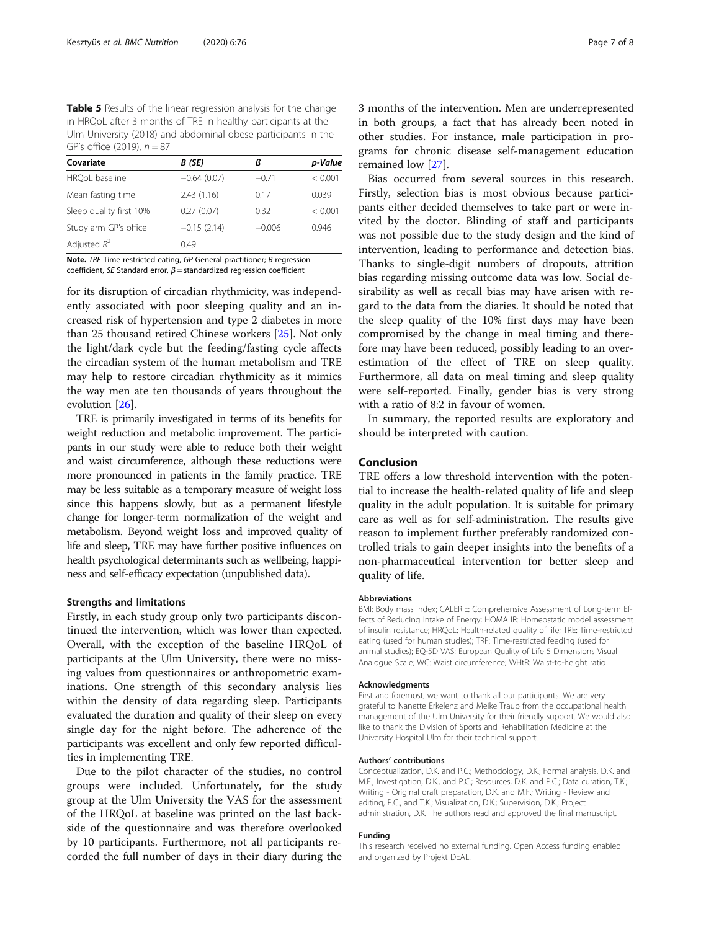<span id="page-6-0"></span>Table 5 Results of the linear regression analysis for the change in HRQoL after 3 months of TRE in healthy participants at the Ulm University (2018) and abdominal obese participants in the GP's office (2019),  $n = 87$ 

| Covariate               | B (SE)        | ß        | p-Value |
|-------------------------|---------------|----------|---------|
| HRQoL baseline          | $-0.64(0.07)$ | $-0.71$  | < 0.001 |
| Mean fasting time       | 2.43(1.16)    | 0.17     | 0.039   |
| Sleep quality first 10% | 0.27(0.07)    | 0.32     | < 0.001 |
| Study arm GP's office   | $-0.15(2.14)$ | $-0.006$ | 0.946   |
| Adjusted $R^2$          | 0.49          |          |         |

Note. TRE Time-restricted eating, GP General practitioner; B regression coefficient, SE Standard error, <sup>β</sup> = standardized regression coefficient

for its disruption of circadian rhythmicity, was independently associated with poor sleeping quality and an increased risk of hypertension and type 2 diabetes in more than 25 thousand retired Chinese workers [\[25\]](#page-7-0). Not only the light/dark cycle but the feeding/fasting cycle affects the circadian system of the human metabolism and TRE may help to restore circadian rhythmicity as it mimics the way men ate ten thousands of years throughout the evolution [[26\]](#page-7-0).

TRE is primarily investigated in terms of its benefits for weight reduction and metabolic improvement. The participants in our study were able to reduce both their weight and waist circumference, although these reductions were more pronounced in patients in the family practice. TRE may be less suitable as a temporary measure of weight loss since this happens slowly, but as a permanent lifestyle change for longer-term normalization of the weight and metabolism. Beyond weight loss and improved quality of life and sleep, TRE may have further positive influences on health psychological determinants such as wellbeing, happiness and self-efficacy expectation (unpublished data).

### Strengths and limitations

Firstly, in each study group only two participants discontinued the intervention, which was lower than expected. Overall, with the exception of the baseline HRQoL of participants at the Ulm University, there were no missing values from questionnaires or anthropometric examinations. One strength of this secondary analysis lies within the density of data regarding sleep. Participants evaluated the duration and quality of their sleep on every single day for the night before. The adherence of the participants was excellent and only few reported difficulties in implementing TRE.

Due to the pilot character of the studies, no control groups were included. Unfortunately, for the study group at the Ulm University the VAS for the assessment of the HRQoL at baseline was printed on the last backside of the questionnaire and was therefore overlooked by 10 participants. Furthermore, not all participants recorded the full number of days in their diary during the 3 months of the intervention. Men are underrepresented in both groups, a fact that has already been noted in other studies. For instance, male participation in programs for chronic disease self-management education remained low [[27](#page-7-0)].

Bias occurred from several sources in this research. Firstly, selection bias is most obvious because participants either decided themselves to take part or were invited by the doctor. Blinding of staff and participants was not possible due to the study design and the kind of intervention, leading to performance and detection bias. Thanks to single-digit numbers of dropouts, attrition bias regarding missing outcome data was low. Social desirability as well as recall bias may have arisen with regard to the data from the diaries. It should be noted that the sleep quality of the 10% first days may have been compromised by the change in meal timing and therefore may have been reduced, possibly leading to an overestimation of the effect of TRE on sleep quality. Furthermore, all data on meal timing and sleep quality were self-reported. Finally, gender bias is very strong with a ratio of 8:2 in favour of women.

In summary, the reported results are exploratory and should be interpreted with caution.

## Conclusion

TRE offers a low threshold intervention with the potential to increase the health-related quality of life and sleep quality in the adult population. It is suitable for primary care as well as for self-administration. The results give reason to implement further preferably randomized controlled trials to gain deeper insights into the benefits of a non-pharmaceutical intervention for better sleep and quality of life.

#### Abbreviations

BMI: Body mass index; CALERIE: Comprehensive Assessment of Long-term Effects of Reducing Intake of Energy; HOMA IR: Homeostatic model assessment of insulin resistance; HRQoL: Health-related quality of life; TRE: Time-restricted eating (used for human studies); TRF: Time-restricted feeding (used for animal studies); EQ-5D VAS: European Quality of Life 5 Dimensions Visual Analogue Scale; WC: Waist circumference; WHtR: Waist-to-height ratio

#### Acknowledgments

First and foremost, we want to thank all our participants. We are very grateful to Nanette Erkelenz and Meike Traub from the occupational health management of the Ulm University for their friendly support. We would also like to thank the Division of Sports and Rehabilitation Medicine at the University Hospital Ulm for their technical support.

#### Authors' contributions

Conceptualization, D.K. and P.C.; Methodology, D.K.; Formal analysis, D.K. and M.F.; Investigation, D.K., and P.C.; Resources, D.K. and P.C.; Data curation, T.K.; Writing - Original draft preparation, D.K. and M.F.; Writing - Review and editing, P.C., and T.K.; Visualization, D.K.; Supervision, D.K.; Project administration, D.K. The authors read and approved the final manuscript.

#### Funding

This research received no external funding. Open Access funding enabled and organized by Projekt DEAL.